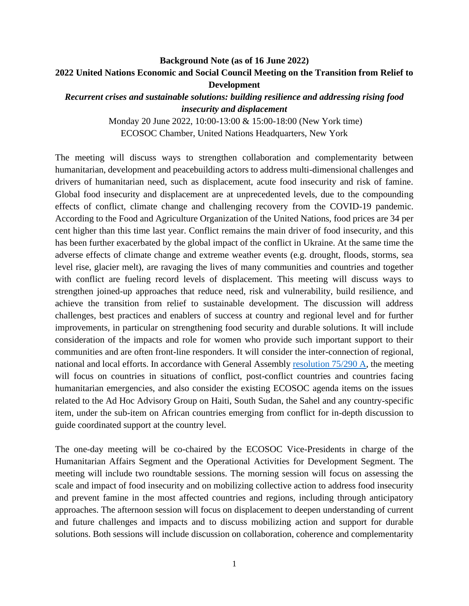# **Background Note (as of 16 June 2022) 2022 United Nations Economic and Social Council Meeting on the Transition from Relief to Development**

*Recurrent crises and sustainable solutions: building resilience and addressing rising food insecurity and displacement*

> Monday 20 June 2022, 10:00-13:00 & 15:00-18:00 (New York time) ECOSOC Chamber, United Nations Headquarters, New York

The meeting will discuss ways to strengthen collaboration and complementarity between humanitarian, development and peacebuilding actors to address multi-dimensional challenges and drivers of humanitarian need, such as displacement, acute food insecurity and risk of famine. Global food insecurity and displacement are at unprecedented levels, due to the compounding effects of conflict, climate change and challenging recovery from the COVID-19 pandemic. According to the Food and Agriculture Organization of the United Nations, food prices are 34 per cent higher than this time last year. Conflict remains the main driver of food insecurity, and this has been further exacerbated by the global impact of the conflict in Ukraine. At the same time the adverse effects of climate change and extreme weather events (e.g. drought, floods, storms, sea level rise, glacier melt), are ravaging the lives of many communities and countries and together with conflict are fueling record levels of displacement. This meeting will discuss ways to strengthen joined-up approaches that reduce need, risk and vulnerability, build resilience, and achieve the transition from relief to sustainable development. The discussion will address challenges, best practices and enablers of success at country and regional level and for further improvements, in particular on strengthening food security and durable solutions. It will include consideration of the impacts and role for women who provide such important support to their communities and are often front-line responders. It will consider the inter-connection of regional, national and local efforts. In accordance with General Assembly [resolution 75/290 A,](https://undocs.org/en/A/RES/75/290A) the meeting will focus on countries in situations of conflict, post-conflict countries and countries facing humanitarian emergencies, and also consider the existing ECOSOC agenda items on the issues related to the Ad Hoc Advisory Group on Haiti, South Sudan, the Sahel and any country-specific item, under the sub-item on African countries emerging from conflict for in-depth discussion to guide coordinated support at the country level.

The one-day meeting will be co-chaired by the ECOSOC Vice-Presidents in charge of the Humanitarian Affairs Segment and the Operational Activities for Development Segment. The meeting will include two roundtable sessions. The morning session will focus on assessing the scale and impact of food insecurity and on mobilizing collective action to address food insecurity and prevent famine in the most affected countries and regions, including through anticipatory approaches. The afternoon session will focus on displacement to deepen understanding of current and future challenges and impacts and to discuss mobilizing action and support for durable solutions. Both sessions will include discussion on collaboration, coherence and complementarity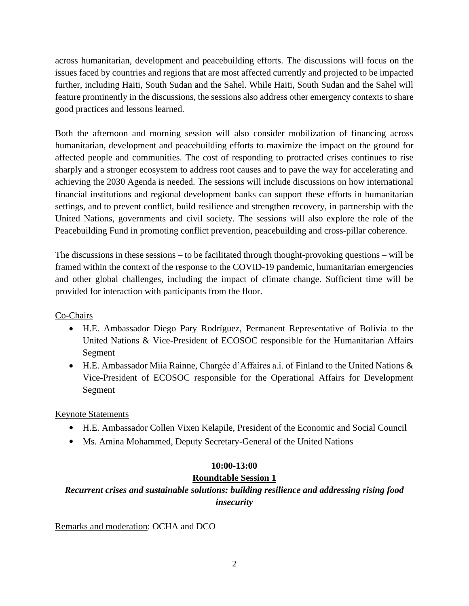across humanitarian, development and peacebuilding efforts. The discussions will focus on the issues faced by countries and regions that are most affected currently and projected to be impacted further, including Haiti, South Sudan and the Sahel. While Haiti, South Sudan and the Sahel will feature prominently in the discussions, the sessions also address other emergency contexts to share good practices and lessons learned.

Both the afternoon and morning session will also consider mobilization of financing across humanitarian, development and peacebuilding efforts to maximize the impact on the ground for affected people and communities. The cost of responding to protracted crises continues to rise sharply and a stronger ecosystem to address root causes and to pave the way for accelerating and achieving the 2030 Agenda is needed. The sessions will include discussions on how international financial institutions and regional development banks can support these efforts in humanitarian settings, and to prevent conflict, build resilience and strengthen recovery, in partnership with the United Nations, governments and civil society. The sessions will also explore the role of the Peacebuilding Fund in promoting conflict prevention, peacebuilding and cross-pillar coherence.

The discussions in these sessions – to be facilitated through thought-provoking questions – will be framed within the context of the response to the COVID-19 pandemic, humanitarian emergencies and other global challenges, including the impact of climate change. Sufficient time will be provided for interaction with participants from the floor.

# Co-Chairs

- H.E. Ambassador Diego Pary Rodríguez, Permanent Representative of Bolivia to the United Nations & Vice-President of ECOSOC responsible for the Humanitarian Affairs Segment
- H.E. Ambassador Miia Rainne, Chargée d'Affaires a.i. of Finland to the United Nations & Vice-President of ECOSOC responsible for the Operational Affairs for Development Segment

Keynote Statements

- H.E. Ambassador Collen Vixen Kelapile, President of the Economic and Social Council
- Ms. Amina Mohammed, Deputy Secretary-General of the United Nations

## **10:00-13:00**

# **Roundtable Session 1**

# *Recurrent crises and sustainable solutions: building resilience and addressing rising food insecurity*

Remarks and moderation: OCHA and DCO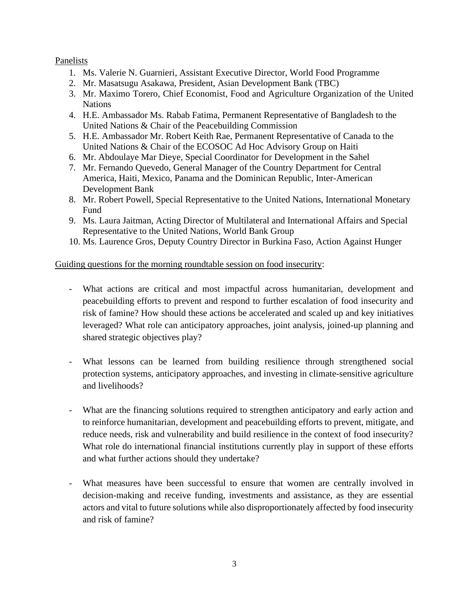#### Panelists

- 1. Ms. Valerie N. Guarnieri, Assistant Executive Director, World Food Programme
- 2. Mr. Masatsugu Asakawa, President, Asian Development Bank (TBC)
- 3. Mr. Maximo Torero, Chief Economist, Food and Agriculture Organization of the United **Nations**
- 4. H.E. Ambassador Ms. Rabab Fatima, Permanent Representative of Bangladesh to the United Nations & Chair of the Peacebuilding Commission
- 5. H.E. Ambassador Mr. Robert Keith Rae, Permanent Representative of Canada to the United Nations & Chair of the ECOSOC Ad Hoc Advisory Group on Haiti
- 6. Mr. Abdoulaye Mar Dieye, Special Coordinator for Development in the Sahel
- 7. Mr. Fernando Quevedo, General Manager of the Country Department for Central America, Haiti, Mexico, Panama and the Dominican Republic, Inter-American Development Bank
- 8. Mr. Robert Powell, Special Representative to the United Nations, International Monetary Fund
- 9. Ms. Laura Jaitman, Acting Director of Multilateral and International Affairs and Special Representative to the United Nations, World Bank Group
- 10. Ms. Laurence Gros, Deputy Country Director in Burkina Faso, Action Against Hunger

#### Guiding questions for the morning roundtable session on food insecurity:

- What actions are critical and most impactful across humanitarian, development and peacebuilding efforts to prevent and respond to further escalation of food insecurity and risk of famine? How should these actions be accelerated and scaled up and key initiatives leveraged? What role can anticipatory approaches, joint analysis, joined-up planning and shared strategic objectives play?
- What lessons can be learned from building resilience through strengthened social protection systems, anticipatory approaches, and investing in climate-sensitive agriculture and livelihoods?
- What are the financing solutions required to strengthen anticipatory and early action and to reinforce humanitarian, development and peacebuilding efforts to prevent, mitigate, and reduce needs, risk and vulnerability and build resilience in the context of food insecurity? What role do international financial institutions currently play in support of these efforts and what further actions should they undertake?
- What measures have been successful to ensure that women are centrally involved in decision-making and receive funding, investments and assistance, as they are essential actors and vital to future solutions while also disproportionately affected by food insecurity and risk of famine?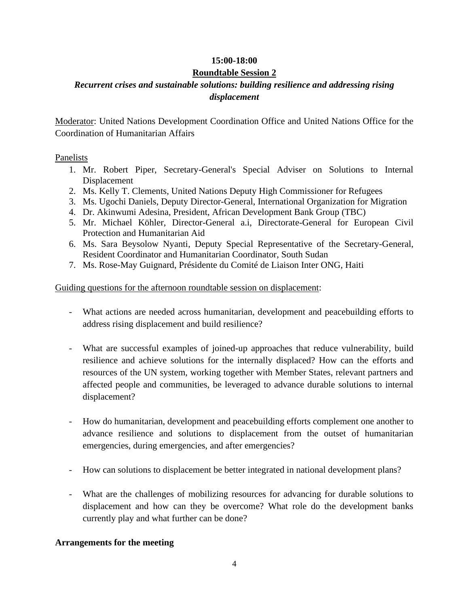## **15:00-18:00**

## **Roundtable Session 2**

# *Recurrent crises and sustainable solutions: building resilience and addressing rising displacement*

Moderator: United Nations Development Coordination Office and United Nations Office for the Coordination of Humanitarian Affairs

#### Panelists

- 1. Mr. Robert Piper, Secretary-General's Special Adviser on Solutions to Internal Displacement
- 2. Ms. Kelly T. Clements, United Nations Deputy High Commissioner for Refugees
- 3. Ms. Ugochi Daniels, Deputy Director-General, International Organization for Migration
- 4. Dr. Akinwumi Adesina, President, African Development Bank Group (TBC)
- 5. Mr. Michael Köhler, Director-General a.i, Directorate-General for European Civil Protection and Humanitarian Aid
- 6. Ms. Sara Beysolow Nyanti, Deputy Special Representative of the Secretary-General, Resident Coordinator and Humanitarian Coordinator, South Sudan
- 7. Ms. Rose-May Guignard, Présidente du Comité de Liaison Inter ONG, Haiti

Guiding questions for the afternoon roundtable session on displacement:

- What actions are needed across humanitarian, development and peacebuilding efforts to address rising displacement and build resilience?
- What are successful examples of joined-up approaches that reduce vulnerability, build resilience and achieve solutions for the internally displaced? How can the efforts and resources of the UN system, working together with Member States, relevant partners and affected people and communities, be leveraged to advance durable solutions to internal displacement?
- How do humanitarian, development and peacebuilding efforts complement one another to advance resilience and solutions to displacement from the outset of humanitarian emergencies, during emergencies, and after emergencies?
- How can solutions to displacement be better integrated in national development plans?
- What are the challenges of mobilizing resources for advancing for durable solutions to displacement and how can they be overcome? What role do the development banks currently play and what further can be done?

## **Arrangements for the meeting**